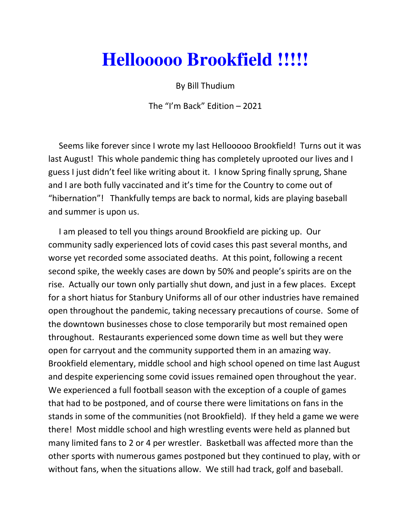## **Hellooooo Brookfield !!!!!**

By Bill Thudium

The "I'm Back" Edition – 2021

 Seems like forever since I wrote my last Hellooooo Brookfield! Turns out it was last August! This whole pandemic thing has completely uprooted our lives and I guess I just didn't feel like writing about it. I know Spring finally sprung, Shane and I are both fully vaccinated and it's time for the Country to come out of "hibernation"! Thankfully temps are back to normal, kids are playing baseball and summer is upon us.

 I am pleased to tell you things around Brookfield are picking up. Our community sadly experienced lots of covid cases this past several months, and worse yet recorded some associated deaths. At this point, following a recent second spike, the weekly cases are down by 50% and people's spirits are on the rise. Actually our town only partially shut down, and just in a few places. Except for a short hiatus for Stanbury Uniforms all of our other industries have remained open throughout the pandemic, taking necessary precautions of course. Some of the downtown businesses chose to close temporarily but most remained open throughout. Restaurants experienced some down time as well but they were open for carryout and the community supported them in an amazing way. Brookfield elementary, middle school and high school opened on time last August and despite experiencing some covid issues remained open throughout the year. We experienced a full football season with the exception of a couple of games that had to be postponed, and of course there were limitations on fans in the stands in some of the communities (not Brookfield). If they held a game we were there! Most middle school and high wrestling events were held as planned but many limited fans to 2 or 4 per wrestler. Basketball was affected more than the other sports with numerous games postponed but they continued to play, with or without fans, when the situations allow. We still had track, golf and baseball.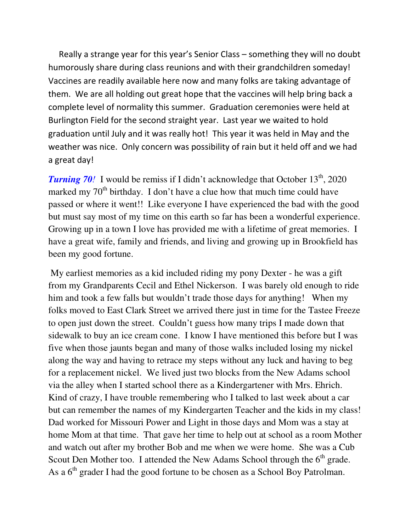Really a strange year for this year's Senior Class – something they will no doubt humorously share during class reunions and with their grandchildren someday! Vaccines are readily available here now and many folks are taking advantage of them. We are all holding out great hope that the vaccines will help bring back a complete level of normality this summer. Graduation ceremonies were held at Burlington Field for the second straight year. Last year we waited to hold graduation until July and it was really hot! This year it was held in May and the weather was nice. Only concern was possibility of rain but it held off and we had a great day!

**Turning 70***!* I would be remiss if I didn't acknowledge that October  $13<sup>th</sup>$ , 2020 marked my  $70<sup>th</sup>$  birthday. I don't have a clue how that much time could have passed or where it went!! Like everyone I have experienced the bad with the good but must say most of my time on this earth so far has been a wonderful experience. Growing up in a town I love has provided me with a lifetime of great memories. I have a great wife, family and friends, and living and growing up in Brookfield has been my good fortune.

 My earliest memories as a kid included riding my pony Dexter - he was a gift from my Grandparents Cecil and Ethel Nickerson. I was barely old enough to ride him and took a few falls but wouldn't trade those days for anything! When my folks moved to East Clark Street we arrived there just in time for the Tastee Freeze to open just down the street. Couldn't guess how many trips I made down that sidewalk to buy an ice cream cone. I know I have mentioned this before but I was five when those jaunts began and many of those walks included losing my nickel along the way and having to retrace my steps without any luck and having to beg for a replacement nickel. We lived just two blocks from the New Adams school via the alley when I started school there as a Kindergartener with Mrs. Ehrich. Kind of crazy, I have trouble remembering who I talked to last week about a car but can remember the names of my Kindergarten Teacher and the kids in my class! Dad worked for Missouri Power and Light in those days and Mom was a stay at home Mom at that time. That gave her time to help out at school as a room Mother and watch out after my brother Bob and me when we were home. She was a Cub Scout Den Mother too. I attended the New Adams School through the  $6<sup>th</sup>$  grade. As a  $6<sup>th</sup>$  grader I had the good fortune to be chosen as a School Boy Patrolman.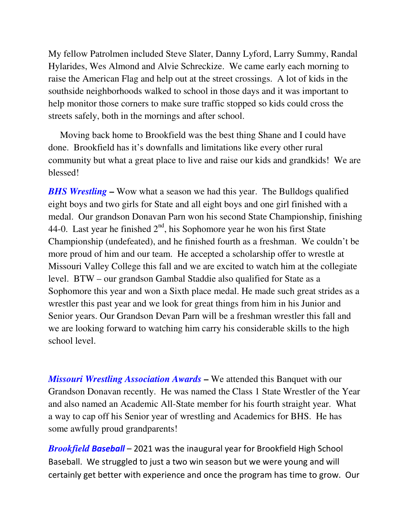My fellow Patrolmen included Steve Slater, Danny Lyford, Larry Summy, Randal Hylarides, Wes Almond and Alvie Schreckize. We came early each morning to raise the American Flag and help out at the street crossings. A lot of kids in the southside neighborhoods walked to school in those days and it was important to help monitor those corners to make sure traffic stopped so kids could cross the streets safely, both in the mornings and after school.

 Moving back home to Brookfield was the best thing Shane and I could have done. Brookfield has it's downfalls and limitations like every other rural community but what a great place to live and raise our kids and grandkids! We are blessed!

*BHS Wrestling* – Wow what a season we had this year. The Bulldogs qualified eight boys and two girls for State and all eight boys and one girl finished with a medal. Our grandson Donavan Parn won his second State Championship, finishing 44-0. Last year he finished  $2<sup>nd</sup>$ , his Sophomore year he won his first State Championship (undefeated), and he finished fourth as a freshman. We couldn't be more proud of him and our team. He accepted a scholarship offer to wrestle at Missouri Valley College this fall and we are excited to watch him at the collegiate level. BTW – our grandson Gambal Staddie also qualified for State as a Sophomore this year and won a Sixth place medal. He made such great strides as a wrestler this past year and we look for great things from him in his Junior and Senior years. Our Grandson Devan Parn will be a freshman wrestler this fall and we are looking forward to watching him carry his considerable skills to the high school level.

*Missouri Wrestling Association Awards* **–** We attended this Banquet with our Grandson Donavan recently. He was named the Class 1 State Wrestler of the Year and also named an Academic All-State member for his fourth straight year. What a way to cap off his Senior year of wrestling and Academics for BHS. He has some awfully proud grandparents!

*Brookfield Baseball* – 2021 was the inaugural year for Brookfield High School Baseball. We struggled to just a two win season but we were young and will certainly get better with experience and once the program has time to grow. Our